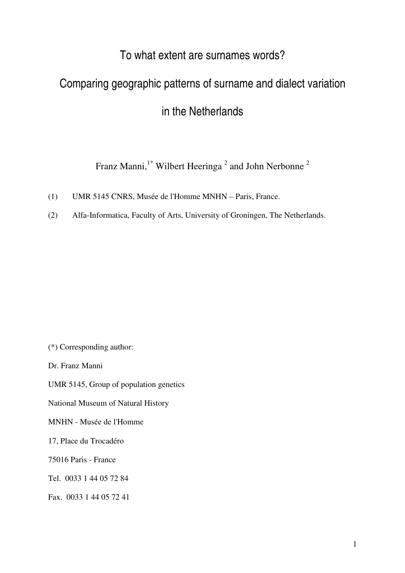# To what extent are surnames words?

# Comparing geographic patterns of surname and dialect variation in the Netherlands

Franz Manni,<sup>1\*</sup> Wilbert Heeringa<sup>2</sup> and John Nerbonne<sup>2</sup>

- (1) UMR 5145 CNRS, Musée de l'Homme MNHN Paris, France.
- (2) Alfa-Informatica, Faculty of Arts, University of Groningen, The Netherlands.

(\*) Corresponding author: Dr. Franz Manni UMR 5145, Group of population genetics National Museum of Natural History MNHN - Musée de l'Homme 17, Place du Trocadéro 75016 Paris - France Tel. 0033 1 44 05 72 84 Fax. 0033 1 44 05 72 41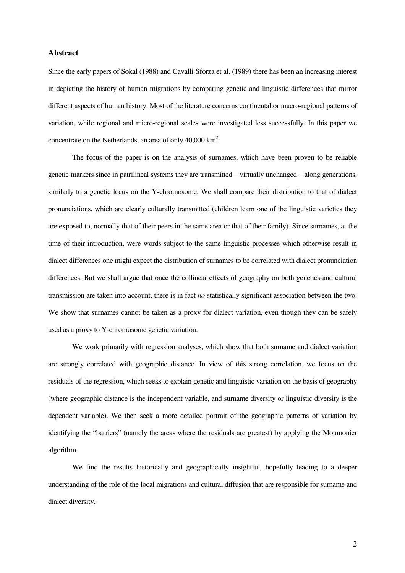#### **Abstract**

Since the early papers of Sokal (1988) and Cavalli-Sforza et al. (1989) there has been an increasing interest in depicting the history of human migrations by comparing genetic and linguistic differences that mirror different aspects of human history. Most of the literature concerns continental or macro-regional patterns of variation, while regional and micro-regional scales were investigated less successfully. In this paper we concentrate on the Netherlands, an area of only  $40,000 \text{ km}^2$ .

The focus of the paper is on the analysis of surnames, which have been proven to be reliable genetic markers since in patrilineal systems they are transmitted—virtually unchanged—along generations, similarly to a genetic locus on the Y-chromosome. We shall compare their distribution to that of dialect pronunciations, which are clearly culturally transmitted (children learn one of the linguistic varieties they are exposed to, normally that of their peers in the same area or that of their family). Since surnames, at the time of their introduction, were words subject to the same linguistic processes which otherwise result in dialect differences one might expect the distribution of surnames to be correlated with dialect pronunciation differences. But we shall argue that once the collinear effects of geography on both genetics and cultural transmission are taken into account, there is in fact *no* statistically significant association between the two. We show that surnames cannot be taken as a proxy for dialect variation, even though they can be safely used as a proxy to Y-chromosome genetic variation.

We work primarily with regression analyses, which show that both surname and dialect variation are strongly correlated with geographic distance. In view of this strong correlation, we focus on the residuals of the regression, which seeks to explain genetic and linguistic variation on the basis of geography (where geographic distance is the independent variable, and surname diversity or linguistic diversity is the dependent variable). We then seek a more detailed portrait of the geographic patterns of variation by identifying the "barriers" (namely the areas where the residuals are greatest) by applying the Monmonier algorithm.

We find the results historically and geographically insightful, hopefully leading to a deeper understanding of the role of the local migrations and cultural diffusion that are responsible for surname and dialect diversity.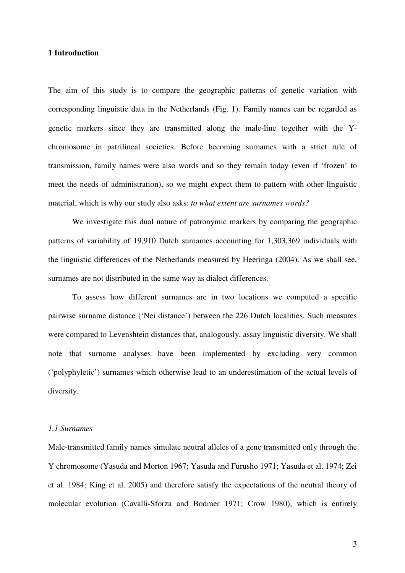#### **1 Introduction**

The aim of this study is to compare the geographic patterns of genetic variation with corresponding linguistic data in the Netherlands (Fig. 1). Family names can be regarded as genetic markers since they are transmitted along the male-line together with the Ychromosome in patrilineal societies. Before becoming surnames with a strict rule of transmission, family names were also words and so they remain today (even if 'frozen' to meet the needs of administration), so we might expect them to pattern with other linguistic material, which is why our study also asks: *to what extent are surnames words?*

We investigate this dual nature of patronymic markers by comparing the geographic patterns of variability of 19,910 Dutch surnames accounting for 1,303,369 individuals with the linguistic differences of the Netherlands measured by Heeringa (2004). As we shall see, surnames are not distributed in the same way as dialect differences.

To assess how different surnames are in two locations we computed a specific pairwise surname distance ('Nei distance') between the 226 Dutch localities. Such measures were compared to Levenshtein distances that, analogously, assay linguistic diversity. We shall note that surname analyses have been implemented by excluding very common ('polyphyletic') surnames which otherwise lead to an underestimation of the actual levels of diversity.

# *1.1 Surnames*

Male-transmitted family names simulate neutral alleles of a gene transmitted only through the Y chromosome (Yasuda and Morton 1967; Yasuda and Furusho 1971; Yasuda et al. 1974; Zei et al. 1984; King et al. 2005) and therefore satisfy the expectations of the neutral theory of molecular evolution (Cavalli-Sforza and Bodmer 1971; Crow 1980), which is entirely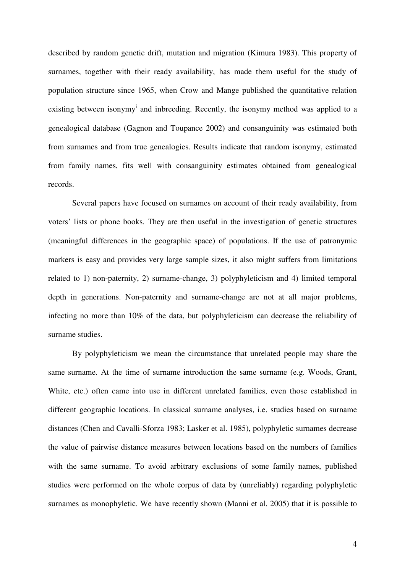described by random genetic drift, mutation and migration (Kimura 1983). This property of surnames, together with their ready availability, has made them useful for the study of population structure since 1965, when Crow and Mange published the quantitative relation existing between isonymy<sup>i</sup> and inbreeding. Recently, the isonymy method was applied to a genealogical database (Gagnon and Toupance 2002) and consanguinity was estimated both from surnames and from true genealogies. Results indicate that random isonymy, estimated from family names, fits well with consanguinity estimates obtained from genealogical records.

Several papers have focused on surnames on account of their ready availability, from voters' lists or phone books. They are then useful in the investigation of genetic structures (meaningful differences in the geographic space) of populations. If the use of patronymic markers is easy and provides very large sample sizes, it also might suffers from limitations related to 1) non-paternity, 2) surname-change, 3) polyphyleticism and 4) limited temporal depth in generations. Non-paternity and surname-change are not at all major problems, infecting no more than 10% of the data, but polyphyleticism can decrease the reliability of surname studies.

By polyphyleticism we mean the circumstance that unrelated people may share the same surname. At the time of surname introduction the same surname (e.g. Woods, Grant, White, etc.) often came into use in different unrelated families, even those established in different geographic locations. In classical surname analyses, i.e. studies based on surname distances (Chen and Cavalli-Sforza 1983; Lasker et al. 1985), polyphyletic surnames decrease the value of pairwise distance measures between locations based on the numbers of families with the same surname. To avoid arbitrary exclusions of some family names, published studies were performed on the whole corpus of data by (unreliably) regarding polyphyletic surnames as monophyletic. We have recently shown (Manni et al. 2005) that it is possible to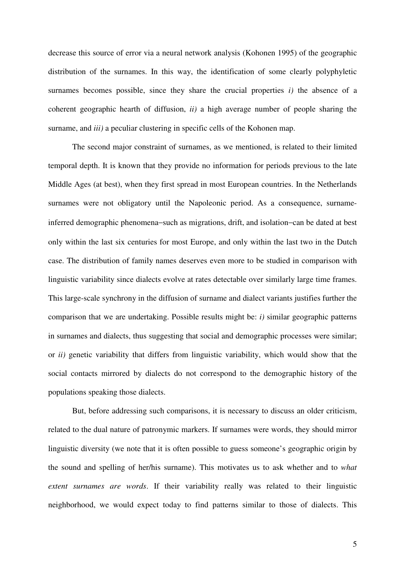decrease this source of error via a neural network analysis (Kohonen 1995) of the geographic distribution of the surnames. In this way, the identification of some clearly polyphyletic surnames becomes possible, since they share the crucial properties  $i$ ) the absence of a coherent geographic hearth of diffusion, *ii)* a high average number of people sharing the surname, and *iii)* a peculiar clustering in specific cells of the Kohonen map.

The second major constraint of surnames, as we mentioned, is related to their limited temporal depth. It is known that they provide no information for periods previous to the late Middle Ages (at best), when they first spread in most European countries. In the Netherlands surnames were not obligatory until the Napoleonic period. As a consequence, surnameinferred demographic phenomena−such as migrations, drift, and isolation−can be dated at best only within the last six centuries for most Europe, and only within the last two in the Dutch case. The distribution of family names deserves even more to be studied in comparison with linguistic variability since dialects evolve at rates detectable over similarly large time frames. This large-scale synchrony in the diffusion of surname and dialect variants justifies further the comparison that we are undertaking. Possible results might be: *i)* similar geographic patterns in surnames and dialects, thus suggesting that social and demographic processes were similar; or *ii)* genetic variability that differs from linguistic variability, which would show that the social contacts mirrored by dialects do not correspond to the demographic history of the populations speaking those dialects.

But, before addressing such comparisons, it is necessary to discuss an older criticism, related to the dual nature of patronymic markers. If surnames were words, they should mirror linguistic diversity (we note that it is often possible to guess someone's geographic origin by the sound and spelling of her/his surname). This motivates us to ask whether and to *what extent surnames are words*. If their variability really was related to their linguistic neighborhood, we would expect today to find patterns similar to those of dialects. This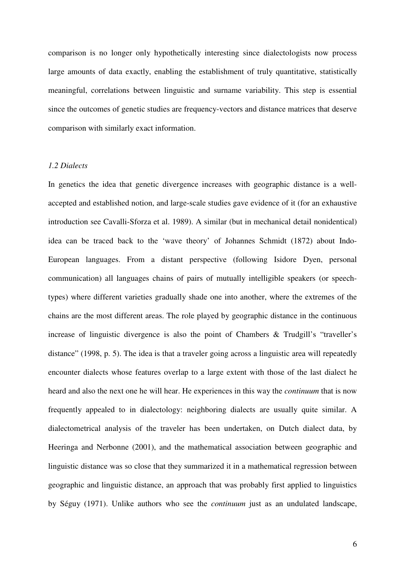comparison is no longer only hypothetically interesting since dialectologists now process large amounts of data exactly, enabling the establishment of truly quantitative, statistically meaningful, correlations between linguistic and surname variability. This step is essential since the outcomes of genetic studies are frequency-vectors and distance matrices that deserve comparison with similarly exact information.

# *1.2 Dialects*

In genetics the idea that genetic divergence increases with geographic distance is a wellaccepted and established notion, and large-scale studies gave evidence of it (for an exhaustive introduction see Cavalli-Sforza et al. 1989). A similar (but in mechanical detail nonidentical) idea can be traced back to the 'wave theory' of Johannes Schmidt (1872) about Indo-European languages. From a distant perspective (following Isidore Dyen, personal communication) all languages chains of pairs of mutually intelligible speakers (or speechtypes) where different varieties gradually shade one into another, where the extremes of the chains are the most different areas. The role played by geographic distance in the continuous increase of linguistic divergence is also the point of Chambers & Trudgill's "traveller's distance" (1998, p. 5). The idea is that a traveler going across a linguistic area will repeatedly encounter dialects whose features overlap to a large extent with those of the last dialect he heard and also the next one he will hear. He experiences in this way the *continuum* that is now frequently appealed to in dialectology: neighboring dialects are usually quite similar. A dialectometrical analysis of the traveler has been undertaken, on Dutch dialect data, by Heeringa and Nerbonne (2001), and the mathematical association between geographic and linguistic distance was so close that they summarized it in a mathematical regression between geographic and linguistic distance, an approach that was probably first applied to linguistics by Séguy (1971). Unlike authors who see the *continuum* just as an undulated landscape,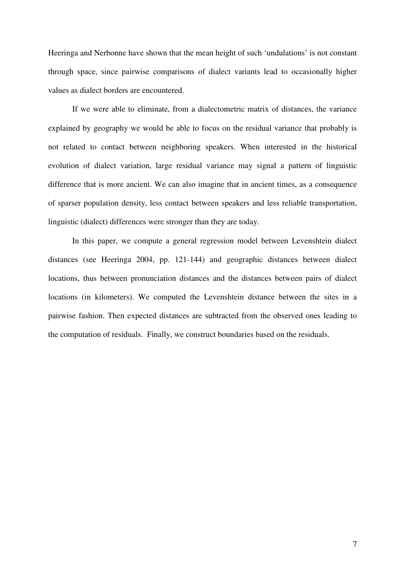Heeringa and Nerbonne have shown that the mean height of such 'undulations' is not constant through space, since pairwise comparisons of dialect variants lead to occasionally higher values as dialect borders are encountered.

If we were able to eliminate, from a dialectometric matrix of distances, the variance explained by geography we would be able to focus on the residual variance that probably is not related to contact between neighboring speakers. When interested in the historical evolution of dialect variation, large residual variance may signal a pattern of linguistic difference that is more ancient. We can also imagine that in ancient times, as a consequence of sparser population density, less contact between speakers and less reliable transportation, linguistic (dialect) differences were stronger than they are today.

In this paper, we compute a general regression model between Levenshtein dialect distances (see Heeringa 2004, pp. 121-144) and geographic distances between dialect locations, thus between pronunciation distances and the distances between pairs of dialect locations (in kilometers). We computed the Levenshtein distance between the sites in a pairwise fashion. Then expected distances are subtracted from the observed ones leading to the computation of residuals. Finally, we construct boundaries based on the residuals.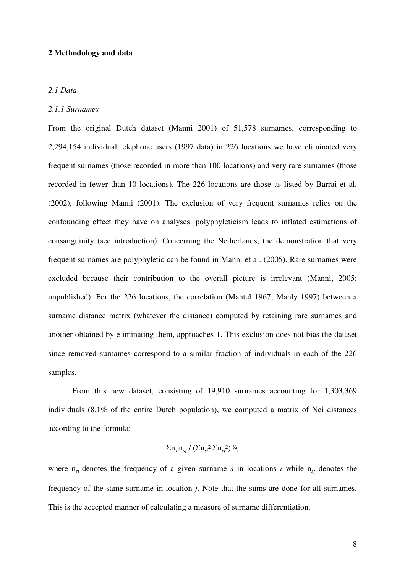### **2 Methodology and data**

#### *2.1 Data*

#### *2.1.1 Surnames*

From the original Dutch dataset (Manni 2001) of 51,578 surnames, corresponding to 2,294,154 individual telephone users (1997 data) in 226 locations we have eliminated very frequent surnames (those recorded in more than 100 locations) and very rare surnames (those recorded in fewer than 10 locations). The 226 locations are those as listed by Barrai et al. (2002), following Manni (2001). The exclusion of very frequent surnames relies on the confounding effect they have on analyses: polyphyleticism leads to inflated estimations of consanguinity (see introduction). Concerning the Netherlands, the demonstration that very frequent surnames are polyphyletic can be found in Manni et al. (2005). Rare surnames were excluded because their contribution to the overall picture is irrelevant (Manni, 2005; unpublished). For the 226 locations, the correlation (Mantel 1967; Manly 1997) between a surname distance matrix (whatever the distance) computed by retaining rare surnames and another obtained by eliminating them, approaches 1. This exclusion does not bias the dataset since removed surnames correspond to a similar fraction of individuals in each of the 226 samples.

From this new dataset, consisting of 19,910 surnames accounting for 1,303,369 individuals (8.1% of the entire Dutch population), we computed a matrix of Nei distances according to the formula:

$$
\Sigma \mathbf{n}_{si} \mathbf{n}_{sj} / (\Sigma \mathbf{n}_{si}^2 \Sigma \mathbf{n}_{sj}^2)^{1/2},
$$

where  $n_{si}$  denotes the frequency of a given surname *s* in locations *i* while  $n_{sj}$  denotes the frequency of the same surname in location *j*. Note that the sums are done for all surnames. This is the accepted manner of calculating a measure of surname differentiation.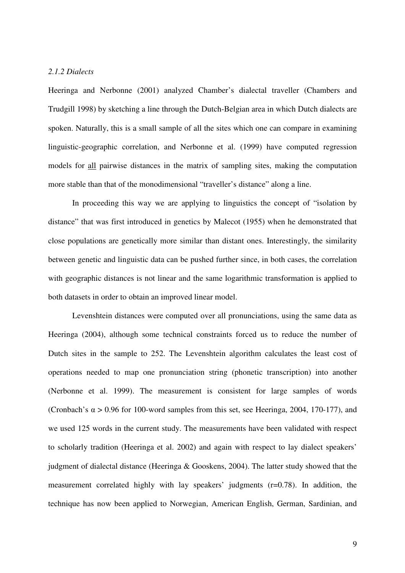# *2.1.2 Dialects*

Heeringa and Nerbonne (2001) analyzed Chamber's dialectal traveller (Chambers and Trudgill 1998) by sketching a line through the Dutch-Belgian area in which Dutch dialects are spoken. Naturally, this is a small sample of all the sites which one can compare in examining linguistic-geographic correlation, and Nerbonne et al. (1999) have computed regression models for all pairwise distances in the matrix of sampling sites, making the computation more stable than that of the monodimensional "traveller's distance" along a line.

In proceeding this way we are applying to linguistics the concept of "isolation by distance" that was first introduced in genetics by Malecot (1955) when he demonstrated that close populations are genetically more similar than distant ones. Interestingly, the similarity between genetic and linguistic data can be pushed further since, in both cases, the correlation with geographic distances is not linear and the same logarithmic transformation is applied to both datasets in order to obtain an improved linear model.

Levenshtein distances were computed over all pronunciations, using the same data as Heeringa (2004), although some technical constraints forced us to reduce the number of Dutch sites in the sample to 252. The Levenshtein algorithm calculates the least cost of operations needed to map one pronunciation string (phonetic transcription) into another (Nerbonne et al. 1999). The measurement is consistent for large samples of words (Cronbach's  $\alpha$  > 0.96 for 100-word samples from this set, see Heeringa, 2004, 170-177), and we used 125 words in the current study. The measurements have been validated with respect to scholarly tradition (Heeringa et al. 2002) and again with respect to lay dialect speakers' judgment of dialectal distance (Heeringa & Gooskens, 2004). The latter study showed that the measurement correlated highly with lay speakers' judgments (r=0.78). In addition, the technique has now been applied to Norwegian, American English, German, Sardinian, and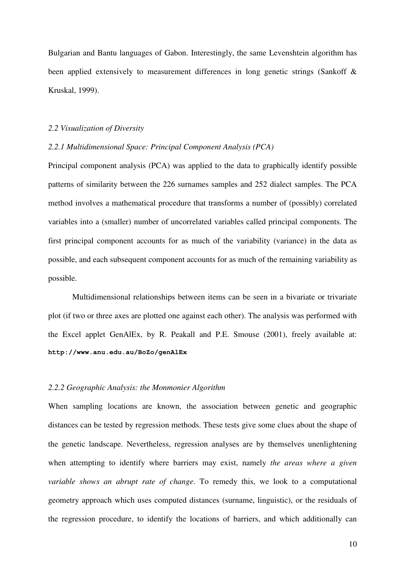Bulgarian and Bantu languages of Gabon. Interestingly, the same Levenshtein algorithm has been applied extensively to measurement differences in long genetic strings (Sankoff & Kruskal, 1999).

#### *2.2 Visualization of Diversity*

#### *2.2.1 Multidimensional Space: Principal Component Analysis (PCA)*

Principal component analysis (PCA) was applied to the data to graphically identify possible patterns of similarity between the 226 surnames samples and 252 dialect samples. The PCA method involves a mathematical procedure that transforms a number of (possibly) correlated variables into a (smaller) number of uncorrelated variables called principal components. The first principal component accounts for as much of the variability (variance) in the data as possible, and each subsequent component accounts for as much of the remaining variability as possible.

Multidimensional relationships between items can be seen in a bivariate or trivariate plot (if two or three axes are plotted one against each other). The analysis was performed with the Excel applet GenAlEx, by R. Peakall and P.E. Smouse (2001), freely available at: **http://www.anu.edu.au/BoZo/genAlEx**

#### *2.2.2 Geographic Analysis: the Monmonier Algorithm*

When sampling locations are known, the association between genetic and geographic distances can be tested by regression methods. These tests give some clues about the shape of the genetic landscape. Nevertheless, regression analyses are by themselves unenlightening when attempting to identify where barriers may exist, namely *the areas where a given variable shows an abrupt rate of change*. To remedy this, we look to a computational geometry approach which uses computed distances (surname, linguistic), or the residuals of the regression procedure, to identify the locations of barriers, and which additionally can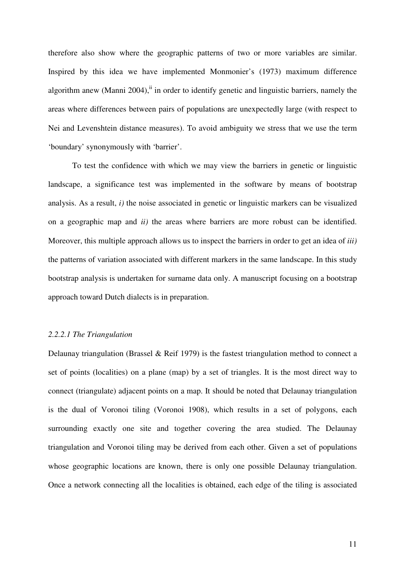therefore also show where the geographic patterns of two or more variables are similar. Inspired by this idea we have implemented Monmonier's (1973) maximum difference algorithm anew (Manni 2004), in order to identify genetic and linguistic barriers, namely the areas where differences between pairs of populations are unexpectedly large (with respect to Nei and Levenshtein distance measures). To avoid ambiguity we stress that we use the term 'boundary' synonymously with 'barrier'.

To test the confidence with which we may view the barriers in genetic or linguistic landscape, a significance test was implemented in the software by means of bootstrap analysis. As a result, *i)* the noise associated in genetic or linguistic markers can be visualized on a geographic map and *ii)* the areas where barriers are more robust can be identified. Moreover, this multiple approach allows us to inspect the barriers in order to get an idea of *iii)* the patterns of variation associated with different markers in the same landscape. In this study bootstrap analysis is undertaken for surname data only. A manuscript focusing on a bootstrap approach toward Dutch dialects is in preparation.

# *2.2.2.1 The Triangulation*

Delaunay triangulation (Brassel & Reif 1979) is the fastest triangulation method to connect a set of points (localities) on a plane (map) by a set of triangles. It is the most direct way to connect (triangulate) adjacent points on a map. It should be noted that Delaunay triangulation is the dual of Voronoi tiling (Voronoi 1908), which results in a set of polygons, each surrounding exactly one site and together covering the area studied. The Delaunay triangulation and Voronoi tiling may be derived from each other. Given a set of populations whose geographic locations are known, there is only one possible Delaunay triangulation. Once a network connecting all the localities is obtained, each edge of the tiling is associated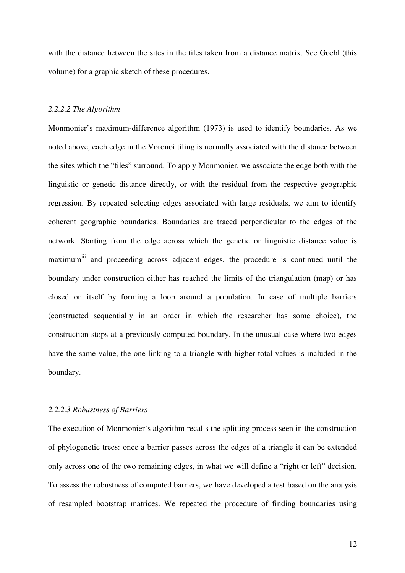with the distance between the sites in the tiles taken from a distance matrix. See Goebl (this volume) for a graphic sketch of these procedures.

#### *2.2.2.2 The Algorithm*

Monmonier's maximum-difference algorithm (1973) is used to identify boundaries. As we noted above, each edge in the Voronoi tiling is normally associated with the distance between the sites which the "tiles" surround. To apply Monmonier, we associate the edge both with the linguistic or genetic distance directly, or with the residual from the respective geographic regression. By repeated selecting edges associated with large residuals, we aim to identify coherent geographic boundaries. Boundaries are traced perpendicular to the edges of the network. Starting from the edge across which the genetic or linguistic distance value is maximum<sup>iii</sup> and proceeding across adjacent edges, the procedure is continued until the boundary under construction either has reached the limits of the triangulation (map) or has closed on itself by forming a loop around a population. In case of multiple barriers (constructed sequentially in an order in which the researcher has some choice), the construction stops at a previously computed boundary. In the unusual case where two edges have the same value, the one linking to a triangle with higher total values is included in the boundary.

# *2.2.2.3 Robustness of Barriers*

The execution of Monmonier's algorithm recalls the splitting process seen in the construction of phylogenetic trees: once a barrier passes across the edges of a triangle it can be extended only across one of the two remaining edges, in what we will define a "right or left" decision. To assess the robustness of computed barriers, we have developed a test based on the analysis of resampled bootstrap matrices. We repeated the procedure of finding boundaries using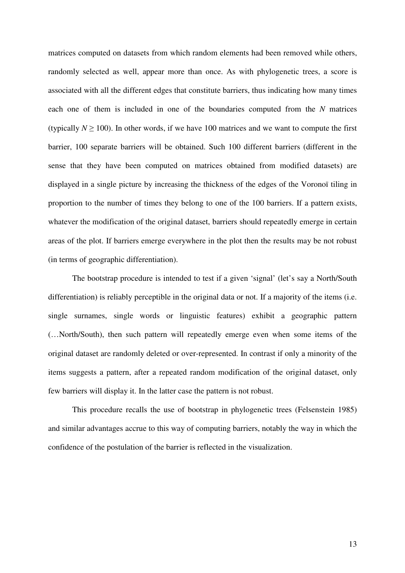matrices computed on datasets from which random elements had been removed while others, randomly selected as well, appear more than once. As with phylogenetic trees, a score is associated with all the different edges that constitute barriers, thus indicating how many times each one of them is included in one of the boundaries computed from the *N* matrices (typically  $N \ge 100$ ). In other words, if we have 100 matrices and we want to compute the first barrier, 100 separate barriers will be obtained. Such 100 different barriers (different in the sense that they have been computed on matrices obtained from modified datasets) are displayed in a single picture by increasing the thickness of the edges of the Voronoï tiling in proportion to the number of times they belong to one of the 100 barriers. If a pattern exists, whatever the modification of the original dataset, barriers should repeatedly emerge in certain areas of the plot. If barriers emerge everywhere in the plot then the results may be not robust (in terms of geographic differentiation).

The bootstrap procedure is intended to test if a given 'signal' (let's say a North/South differentiation) is reliably perceptible in the original data or not. If a majority of the items (i.e. single surnames, single words or linguistic features) exhibit a geographic pattern (…North/South), then such pattern will repeatedly emerge even when some items of the original dataset are randomly deleted or over-represented. In contrast if only a minority of the items suggests a pattern, after a repeated random modification of the original dataset, only few barriers will display it. In the latter case the pattern is not robust.

This procedure recalls the use of bootstrap in phylogenetic trees (Felsenstein 1985) and similar advantages accrue to this way of computing barriers, notably the way in which the confidence of the postulation of the barrier is reflected in the visualization.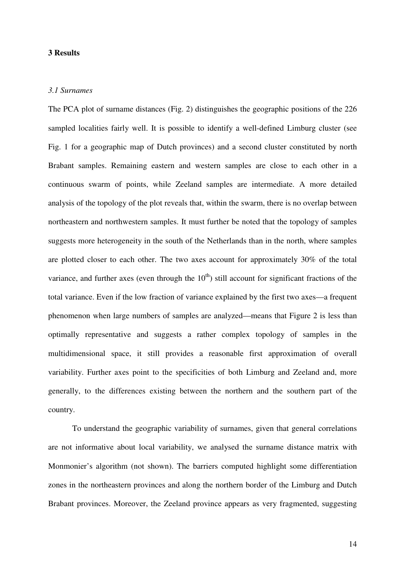### **3 Results**

#### *3.1 Surnames*

The PCA plot of surname distances (Fig. 2) distinguishes the geographic positions of the 226 sampled localities fairly well. It is possible to identify a well-defined Limburg cluster (see Fig. 1 for a geographic map of Dutch provinces) and a second cluster constituted by north Brabant samples. Remaining eastern and western samples are close to each other in a continuous swarm of points, while Zeeland samples are intermediate. A more detailed analysis of the topology of the plot reveals that, within the swarm, there is no overlap between northeastern and northwestern samples. It must further be noted that the topology of samples suggests more heterogeneity in the south of the Netherlands than in the north, where samples are plotted closer to each other. The two axes account for approximately 30% of the total variance, and further axes (even through the  $10<sup>th</sup>$ ) still account for significant fractions of the total variance. Even if the low fraction of variance explained by the first two axes—a frequent phenomenon when large numbers of samples are analyzed—means that Figure 2 is less than optimally representative and suggests a rather complex topology of samples in the multidimensional space, it still provides a reasonable first approximation of overall variability. Further axes point to the specificities of both Limburg and Zeeland and, more generally, to the differences existing between the northern and the southern part of the country.

To understand the geographic variability of surnames, given that general correlations are not informative about local variability, we analysed the surname distance matrix with Monmonier's algorithm (not shown). The barriers computed highlight some differentiation zones in the northeastern provinces and along the northern border of the Limburg and Dutch Brabant provinces. Moreover, the Zeeland province appears as very fragmented, suggesting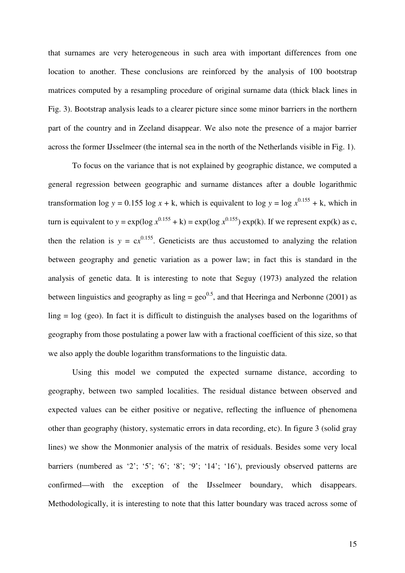that surnames are very heterogeneous in such area with important differences from one location to another. These conclusions are reinforced by the analysis of 100 bootstrap matrices computed by a resampling procedure of original surname data (thick black lines in Fig. 3). Bootstrap analysis leads to a clearer picture since some minor barriers in the northern part of the country and in Zeeland disappear. We also note the presence of a major barrier across the former IJsselmeer (the internal sea in the north of the Netherlands visible in Fig. 1).

To focus on the variance that is not explained by geographic distance, we computed a general regression between geographic and surname distances after a double logarithmic transformation  $\log y = 0.155 \log x + k$ , which is equivalent to  $\log y = \log x^{0.155} + k$ , which in turn is equivalent to  $y = \exp(\log x^{0.155} + k) = \exp(\log x^{0.155}) \exp(k)$ . If we represent  $\exp(k)$  as c, then the relation is  $y = cx^{0.155}$ . Geneticists are thus accustomed to analyzing the relation between geography and genetic variation as a power law; in fact this is standard in the analysis of genetic data. It is interesting to note that Seguy (1973) analyzed the relation between linguistics and geography as ling =  $\text{geo}^{0.5}$ , and that Heeringa and Nerbonne (2001) as ling = log (geo). In fact it is difficult to distinguish the analyses based on the logarithms of geography from those postulating a power law with a fractional coefficient of this size, so that we also apply the double logarithm transformations to the linguistic data.

Using this model we computed the expected surname distance, according to geography, between two sampled localities. The residual distance between observed and expected values can be either positive or negative, reflecting the influence of phenomena other than geography (history, systematic errors in data recording, etc). In figure 3 (solid gray lines) we show the Monmonier analysis of the matrix of residuals. Besides some very local barriers (numbered as '2'; '5'; '6'; '8'; '9'; '14'; '16'), previously observed patterns are confirmed—with the exception of the IJsselmeer boundary, which disappears. Methodologically, it is interesting to note that this latter boundary was traced across some of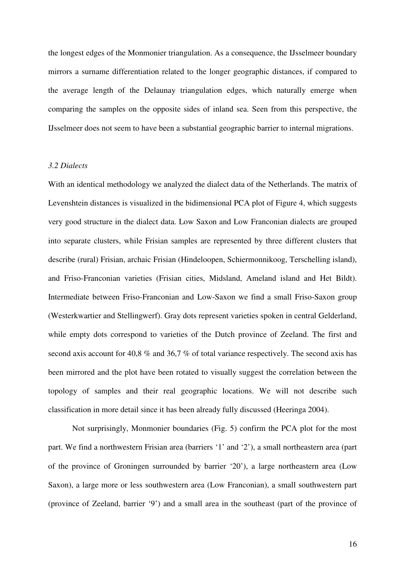the longest edges of the Monmonier triangulation. As a consequence, the IJsselmeer boundary mirrors a surname differentiation related to the longer geographic distances, if compared to the average length of the Delaunay triangulation edges, which naturally emerge when comparing the samples on the opposite sides of inland sea. Seen from this perspective, the IJsselmeer does not seem to have been a substantial geographic barrier to internal migrations.

# *3.2 Dialects*

With an identical methodology we analyzed the dialect data of the Netherlands. The matrix of Levenshtein distances is visualized in the bidimensional PCA plot of Figure 4, which suggests very good structure in the dialect data. Low Saxon and Low Franconian dialects are grouped into separate clusters, while Frisian samples are represented by three different clusters that describe (rural) Frisian, archaic Frisian (Hindeloopen, Schiermonnikoog, Terschelling island), and Friso-Franconian varieties (Frisian cities, Midsland, Ameland island and Het Bildt). Intermediate between Friso-Franconian and Low-Saxon we find a small Friso-Saxon group (Westerkwartier and Stellingwerf). Gray dots represent varieties spoken in central Gelderland, while empty dots correspond to varieties of the Dutch province of Zeeland. The first and second axis account for 40,8 % and 36,7 % of total variance respectively. The second axis has been mirrored and the plot have been rotated to visually suggest the correlation between the topology of samples and their real geographic locations. We will not describe such classification in more detail since it has been already fully discussed (Heeringa 2004).

Not surprisingly, Monmonier boundaries (Fig. 5) confirm the PCA plot for the most part. We find a northwestern Frisian area (barriers '1' and '2'), a small northeastern area (part of the province of Groningen surrounded by barrier '20'), a large northeastern area (Low Saxon), a large more or less southwestern area (Low Franconian), a small southwestern part (province of Zeeland, barrier '9') and a small area in the southeast (part of the province of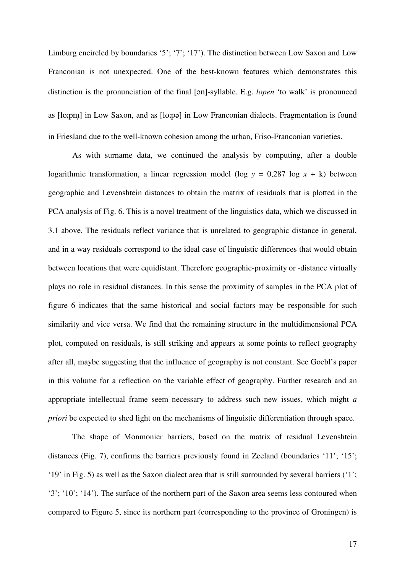Limburg encircled by boundaries '5'; '7'; '17'). The distinction between Low Saxon and Low Franconian is not unexpected. One of the best-known features which demonstrates this distinction is the pronunciation of the final [an]-syllable. E.g. *lopen* 'to walk' is pronounced as [lo:pm] in Low Saxon, and as [lo:pə] in Low Franconian dialects. Fragmentation is found in Friesland due to the well-known cohesion among the urban, Friso-Franconian varieties.

As with surname data, we continued the analysis by computing, after a double logarithmic transformation, a linear regression model (log  $y = 0.287 \log x + k$ ) between geographic and Levenshtein distances to obtain the matrix of residuals that is plotted in the PCA analysis of Fig. 6. This is a novel treatment of the linguistics data, which we discussed in 3.1 above. The residuals reflect variance that is unrelated to geographic distance in general, and in a way residuals correspond to the ideal case of linguistic differences that would obtain between locations that were equidistant. Therefore geographic-proximity or -distance virtually plays no role in residual distances. In this sense the proximity of samples in the PCA plot of figure 6 indicates that the same historical and social factors may be responsible for such similarity and vice versa. We find that the remaining structure in the multidimensional PCA plot, computed on residuals, is still striking and appears at some points to reflect geography after all, maybe suggesting that the influence of geography is not constant. See Goebl's paper in this volume for a reflection on the variable effect of geography. Further research and an appropriate intellectual frame seem necessary to address such new issues, which might *a priori* be expected to shed light on the mechanisms of linguistic differentiation through space.

The shape of Monmonier barriers, based on the matrix of residual Levenshtein distances (Fig. 7), confirms the barriers previously found in Zeeland (boundaries '11'; '15'; '19' in Fig. 5) as well as the Saxon dialect area that is still surrounded by several barriers ('1'; '3'; '10'; '14'). The surface of the northern part of the Saxon area seems less contoured when compared to Figure 5, since its northern part (corresponding to the province of Groningen) is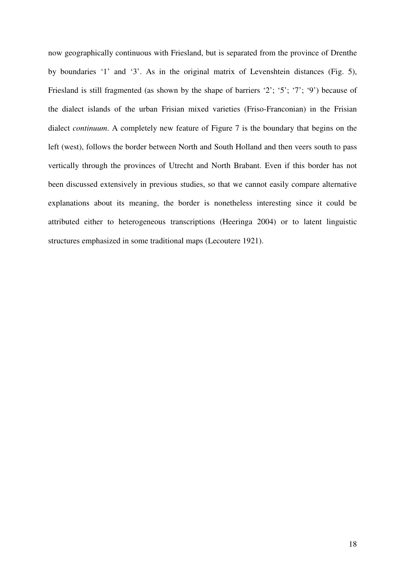now geographically continuous with Friesland, but is separated from the province of Drenthe by boundaries '1' and '3'. As in the original matrix of Levenshtein distances (Fig. 5), Friesland is still fragmented (as shown by the shape of barriers '2'; '5'; '7'; '9') because of the dialect islands of the urban Frisian mixed varieties (Friso-Franconian) in the Frisian dialect *continuum*. A completely new feature of Figure 7 is the boundary that begins on the left (west), follows the border between North and South Holland and then veers south to pass vertically through the provinces of Utrecht and North Brabant. Even if this border has not been discussed extensively in previous studies, so that we cannot easily compare alternative explanations about its meaning, the border is nonetheless interesting since it could be attributed either to heterogeneous transcriptions (Heeringa 2004) or to latent linguistic structures emphasized in some traditional maps (Lecoutere 1921).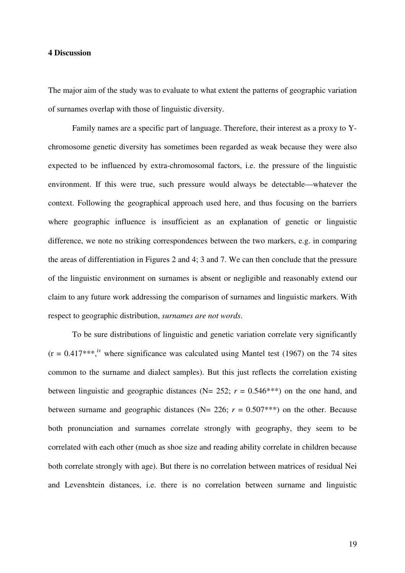# **4 Discussion**

The major aim of the study was to evaluate to what extent the patterns of geographic variation of surnames overlap with those of linguistic diversity.

Family names are a specific part of language. Therefore, their interest as a proxy to Ychromosome genetic diversity has sometimes been regarded as weak because they were also expected to be influenced by extra-chromosomal factors, i.e. the pressure of the linguistic environment. If this were true, such pressure would always be detectable—whatever the context. Following the geographical approach used here, and thus focusing on the barriers where geographic influence is insufficient as an explanation of genetic or linguistic difference, we note no striking correspondences between the two markers, e.g. in comparing the areas of differentiation in Figures 2 and 4; 3 and 7. We can then conclude that the pressure of the linguistic environment on surnames is absent or negligible and reasonably extend our claim to any future work addressing the comparison of surnames and linguistic markers. With respect to geographic distribution, *surnames are not words*.

To be sure distributions of linguistic and genetic variation correlate very significantly  $(r = 0.417***$ <sup>iv</sup> where significance was calculated using Mantel test (1967) on the 74 sites common to the surname and dialect samples). But this just reflects the correlation existing between linguistic and geographic distances ( $N = 252$ ;  $r = 0.546$ <sup>\*\*\*</sup>) on the one hand, and between surname and geographic distances ( $N= 226$ ;  $r = 0.507$ <sup>\*\*\*</sup>) on the other. Because both pronunciation and surnames correlate strongly with geography, they seem to be correlated with each other (much as shoe size and reading ability correlate in children because both correlate strongly with age). But there is no correlation between matrices of residual Nei and Levenshtein distances, i.e. there is no correlation between surname and linguistic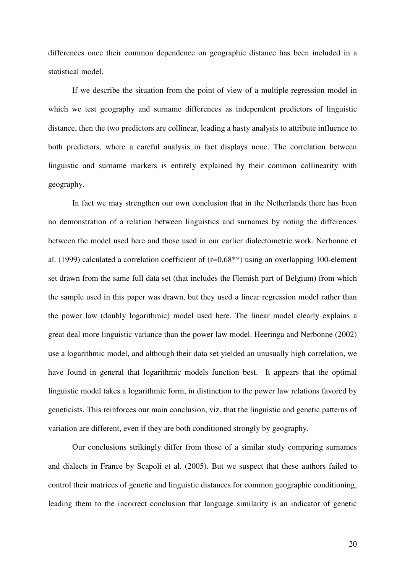differences once their common dependence on geographic distance has been included in a statistical model.

If we describe the situation from the point of view of a multiple regression model in which we test geography and surname differences as independent predictors of linguistic distance, then the two predictors are collinear, leading a hasty analysis to attribute influence to both predictors, where a careful analysis in fact displays none. The correlation between linguistic and surname markers is entirely explained by their common collinearity with geography.

In fact we may strengthen our own conclusion that in the Netherlands there has been no demonstration of a relation between linguistics and surnames by noting the differences between the model used here and those used in our earlier dialectometric work. Nerbonne et al. (1999) calculated a correlation coefficient of (r=0.68\*\*) using an overlapping 100-element set drawn from the same full data set (that includes the Flemish part of Belgium) from which the sample used in this paper was drawn, but they used a linear regression model rather than the power law (doubly logarithmic) model used here. The linear model clearly explains a great deal more linguistic variance than the power law model. Heeringa and Nerbonne (2002) use a logarithmic model, and although their data set yielded an unusually high correlation, we have found in general that logarithmic models function best. It appears that the optimal linguistic model takes a logarithmic form, in distinction to the power law relations favored by geneticists. This reinforces our main conclusion, viz. that the linguistic and genetic patterns of variation are different, even if they are both conditioned strongly by geography.

Our conclusions strikingly differ from those of a similar study comparing surnames and dialects in France by Scapoli et al. (2005). But we suspect that these authors failed to control their matrices of genetic and linguistic distances for common geographic conditioning, leading them to the incorrect conclusion that language similarity is an indicator of genetic

20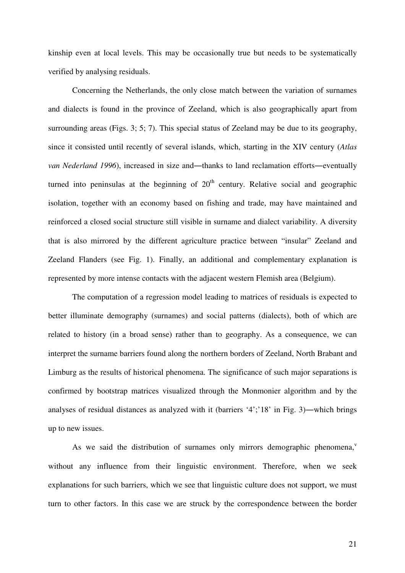kinship even at local levels. This may be occasionally true but needs to be systematically verified by analysing residuals.

Concerning the Netherlands, the only close match between the variation of surnames and dialects is found in the province of Zeeland, which is also geographically apart from surrounding areas (Figs. 3; 5; 7). This special status of Zeeland may be due to its geography, since it consisted until recently of several islands, which, starting in the XIV century (*Atlas van Nederland 1996*), increased in size and-thanks to land reclamation efforts-eventually turned into peninsulas at the beginning of  $20<sup>th</sup>$  century. Relative social and geographic isolation, together with an economy based on fishing and trade, may have maintained and reinforced a closed social structure still visible in surname and dialect variability. A diversity that is also mirrored by the different agriculture practice between "insular" Zeeland and Zeeland Flanders (see Fig. 1). Finally, an additional and complementary explanation is represented by more intense contacts with the adjacent western Flemish area (Belgium).

The computation of a regression model leading to matrices of residuals is expected to better illuminate demography (surnames) and social patterns (dialects), both of which are related to history (in a broad sense) rather than to geography. As a consequence, we can interpret the surname barriers found along the northern borders of Zeeland, North Brabant and Limburg as the results of historical phenomena. The significance of such major separations is confirmed by bootstrap matrices visualized through the Monmonier algorithm and by the analyses of residual distances as analyzed with it (barriers  $4$ ';'18' in Fig. 3)—which brings up to new issues.

As we said the distribution of surnames only mirrors demographic phenomena, $v$ without any influence from their linguistic environment. Therefore, when we seek explanations for such barriers, which we see that linguistic culture does not support, we must turn to other factors. In this case we are struck by the correspondence between the border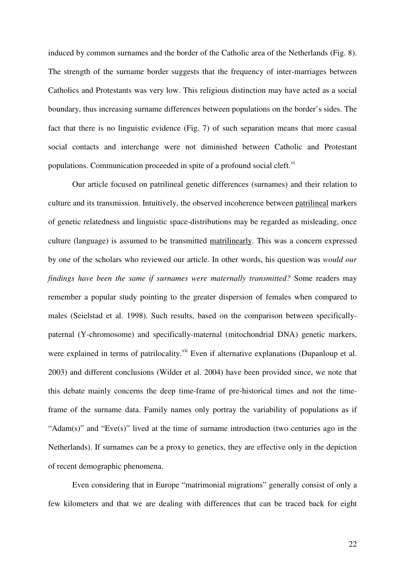induced by common surnames and the border of the Catholic area of the Netherlands (Fig. 8). The strength of the surname border suggests that the frequency of inter-marriages between Catholics and Protestants was very low. This religious distinction may have acted as a social boundary, thus increasing surname differences between populations on the border's sides. The fact that there is no linguistic evidence (Fig. 7) of such separation means that more casual social contacts and interchange were not diminished between Catholic and Protestant populations. Communication proceeded in spite of a profound social cleft.<sup>vi</sup>

Our article focused on patrilineal genetic differences (surnames) and their relation to culture and its transmission. Intuitively, the observed incoherence between patrilineal markers of genetic relatedness and linguistic space-distributions may be regarded as misleading, once culture (language) is assumed to be transmitted matrilinearly. This was a concern expressed by one of the scholars who reviewed our article. In other words, his question was *would our findings have been the same if surnames were maternally transmitted?* Some readers may remember a popular study pointing to the greater dispersion of females when compared to males (Seielstad et al. 1998). Such results, based on the comparison between specificallypaternal (Y-chromosome) and specifically-maternal (mitochondrial DNA) genetic markers, were explained in terms of patrilocality.<sup>vii</sup> Even if alternative explanations (Dupanloup et al. 2003) and different conclusions (Wilder et al. 2004) have been provided since, we note that this debate mainly concerns the deep time-frame of pre-historical times and not the timeframe of the surname data. Family names only portray the variability of populations as if "Adam(s)" and "Eve(s)" lived at the time of surname introduction (two centuries ago in the Netherlands). If surnames can be a proxy to genetics, they are effective only in the depiction of recent demographic phenomena.

Even considering that in Europe "matrimonial migrations" generally consist of only a few kilometers and that we are dealing with differences that can be traced back for eight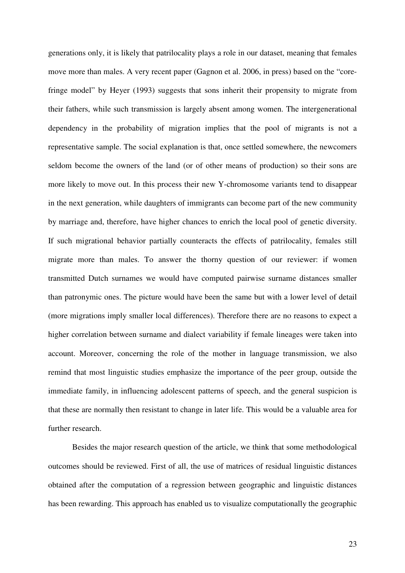generations only, it is likely that patrilocality plays a role in our dataset, meaning that females move more than males. A very recent paper (Gagnon et al. 2006, in press) based on the "corefringe model" by Heyer (1993) suggests that sons inherit their propensity to migrate from their fathers, while such transmission is largely absent among women. The intergenerational dependency in the probability of migration implies that the pool of migrants is not a representative sample. The social explanation is that, once settled somewhere, the newcomers seldom become the owners of the land (or of other means of production) so their sons are more likely to move out. In this process their new Y-chromosome variants tend to disappear in the next generation, while daughters of immigrants can become part of the new community by marriage and, therefore, have higher chances to enrich the local pool of genetic diversity. If such migrational behavior partially counteracts the effects of patrilocality, females still migrate more than males. To answer the thorny question of our reviewer: if women transmitted Dutch surnames we would have computed pairwise surname distances smaller than patronymic ones. The picture would have been the same but with a lower level of detail (more migrations imply smaller local differences). Therefore there are no reasons to expect a higher correlation between surname and dialect variability if female lineages were taken into account. Moreover, concerning the role of the mother in language transmission, we also remind that most linguistic studies emphasize the importance of the peer group, outside the immediate family, in influencing adolescent patterns of speech, and the general suspicion is that these are normally then resistant to change in later life. This would be a valuable area for further research.

Besides the major research question of the article, we think that some methodological outcomes should be reviewed. First of all, the use of matrices of residual linguistic distances obtained after the computation of a regression between geographic and linguistic distances has been rewarding. This approach has enabled us to visualize computationally the geographic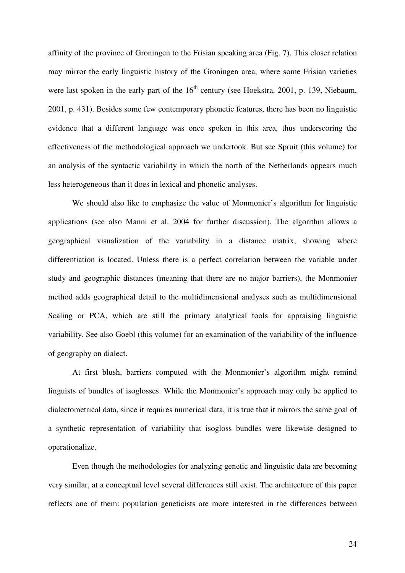affinity of the province of Groningen to the Frisian speaking area (Fig. 7). This closer relation may mirror the early linguistic history of the Groningen area, where some Frisian varieties were last spoken in the early part of the  $16<sup>th</sup>$  century (see Hoekstra, 2001, p. 139, Niebaum, 2001, p. 431). Besides some few contemporary phonetic features, there has been no linguistic evidence that a different language was once spoken in this area, thus underscoring the effectiveness of the methodological approach we undertook. But see Spruit (this volume) for an analysis of the syntactic variability in which the north of the Netherlands appears much less heterogeneous than it does in lexical and phonetic analyses.

We should also like to emphasize the value of Monmonier's algorithm for linguistic applications (see also Manni et al. 2004 for further discussion). The algorithm allows a geographical visualization of the variability in a distance matrix, showing where differentiation is located. Unless there is a perfect correlation between the variable under study and geographic distances (meaning that there are no major barriers), the Monmonier method adds geographical detail to the multidimensional analyses such as multidimensional Scaling or PCA, which are still the primary analytical tools for appraising linguistic variability. See also Goebl (this volume) for an examination of the variability of the influence of geography on dialect.

At first blush, barriers computed with the Monmonier's algorithm might remind linguists of bundles of isoglosses. While the Monmonier's approach may only be applied to dialectometrical data, since it requires numerical data, it is true that it mirrors the same goal of a synthetic representation of variability that isogloss bundles were likewise designed to operationalize.

Even though the methodologies for analyzing genetic and linguistic data are becoming very similar, at a conceptual level several differences still exist. The architecture of this paper reflects one of them: population geneticists are more interested in the differences between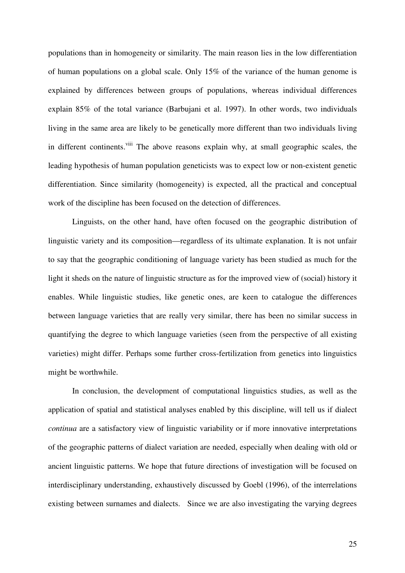populations than in homogeneity or similarity. The main reason lies in the low differentiation of human populations on a global scale. Only 15% of the variance of the human genome is explained by differences between groups of populations, whereas individual differences explain 85% of the total variance (Barbujani et al. 1997). In other words, two individuals living in the same area are likely to be genetically more different than two individuals living in different continents.<sup>viii</sup> The above reasons explain why, at small geographic scales, the leading hypothesis of human population geneticists was to expect low or non-existent genetic differentiation. Since similarity (homogeneity) is expected, all the practical and conceptual work of the discipline has been focused on the detection of differences.

Linguists, on the other hand, have often focused on the geographic distribution of linguistic variety and its composition—regardless of its ultimate explanation. It is not unfair to say that the geographic conditioning of language variety has been studied as much for the light it sheds on the nature of linguistic structure as for the improved view of (social) history it enables. While linguistic studies, like genetic ones, are keen to catalogue the differences between language varieties that are really very similar, there has been no similar success in quantifying the degree to which language varieties (seen from the perspective of all existing varieties) might differ. Perhaps some further cross-fertilization from genetics into linguistics might be worthwhile.

In conclusion, the development of computational linguistics studies, as well as the application of spatial and statistical analyses enabled by this discipline, will tell us if dialect *continua* are a satisfactory view of linguistic variability or if more innovative interpretations of the geographic patterns of dialect variation are needed, especially when dealing with old or ancient linguistic patterns. We hope that future directions of investigation will be focused on interdisciplinary understanding, exhaustively discussed by Goebl (1996), of the interrelations existing between surnames and dialects. Since we are also investigating the varying degrees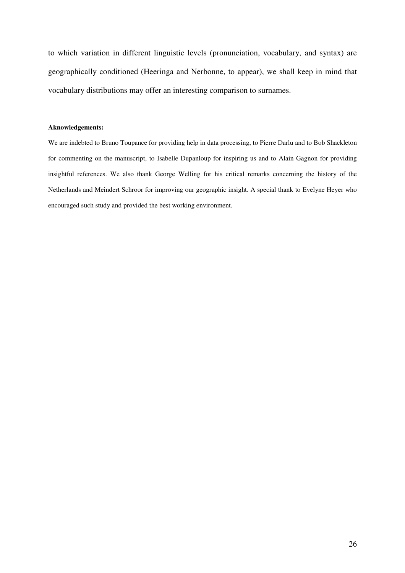to which variation in different linguistic levels (pronunciation, vocabulary, and syntax) are geographically conditioned (Heeringa and Nerbonne, to appear), we shall keep in mind that vocabulary distributions may offer an interesting comparison to surnames.

#### **Aknowledgements:**

We are indebted to Bruno Toupance for providing help in data processing, to Pierre Darlu and to Bob Shackleton for commenting on the manuscript, to Isabelle Dupanloup for inspiring us and to Alain Gagnon for providing insightful references. We also thank George Welling for his critical remarks concerning the history of the Netherlands and Meindert Schroor for improving our geographic insight. A special thank to Evelyne Heyer who encouraged such study and provided the best working environment.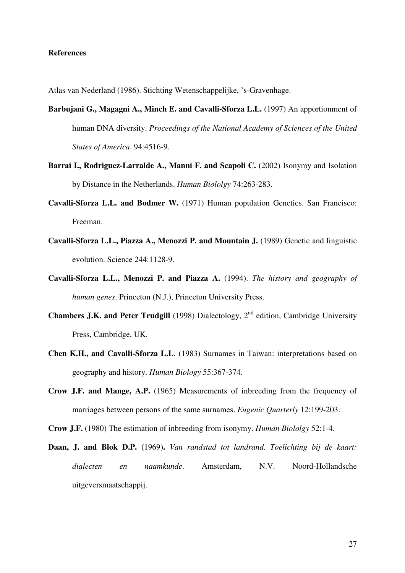# **References**

Atlas van Nederland (1986). Stichting Wetenschappelijke, 's-Gravenhage.

- **Barbujani G., Magagni A., Minch E. and Cavalli-Sforza L.L.** (1997) An apportionment of human DNA diversity. *Proceedings of the National Academy of Sciences of the United States of America*. 94:4516-9.
- **Barrai I., Rodriguez-Larralde A., Manni F. and Scapoli C.** (2002) Isonymy and Isolation by Distance in the Netherlands. *Human Biololgy* 74:263-283.
- **Cavalli-Sforza L.L. and Bodmer W.** (1971) Human population Genetics. San Francisco: Freeman.
- **Cavalli-Sforza L.L., Piazza A., Menozzi P. and Mountain J.** (1989) Genetic and linguistic evolution. Science 244:1128-9.
- **Cavalli-Sforza L.L., Menozzi P. and Piazza A.** (1994). *The history and geography of human genes*. Princeton (N.J.), Princeton University Press.
- **Chambers J.K. and Peter Trudgill** (1998) Dialectology, 2<sup>nd</sup> edition, Cambridge University Press, Cambridge, UK.
- **Chen K.H., and Cavalli-Sforza L.L**. (1983) Surnames in Taiwan: interpretations based on geography and history. *Human Biology* 55:367-374.
- **Crow J.F. and Mange, A.P.** (1965) Measurements of inbreeding from the frequency of marriages between persons of the same surnames. *Eugenic Quarterly* 12:199-203.
- **Crow J.F.** (1980) The estimation of inbreeding from isonymy. *Human Biololgy* 52:1-4.
- **Daan, J. and Blok D.P.** (1969)**.** *Van randstad tot landrand. Toelichting bij de kaart: dialecten en naamkunde*. Amsterdam, N.V. Noord-Hollandsche uitgeversmaatschappij.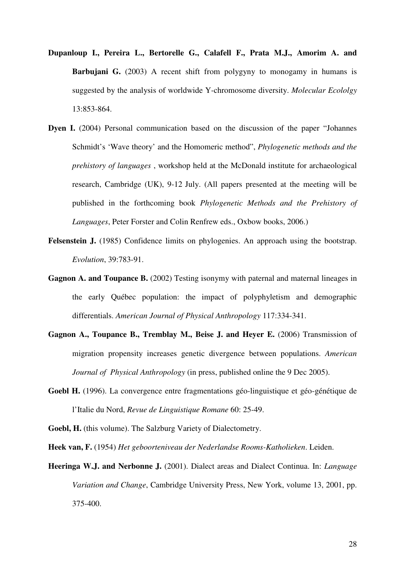- **Dupanloup I., Pereira L., Bertorelle G., Calafell F., Prata M.J., Amorim A. and Barbujani G.** (2003) A recent shift from polygyny to monogamy in humans is suggested by the analysis of worldwide Y-chromosome diversity. *Molecular Ecololgy* 13:853-864.
- **Dyen I.** (2004) Personal communication based on the discussion of the paper "Johannes" Schmidt's 'Wave theory' and the Homomeric method", *Phylogenetic methods and the prehistory of languages* , workshop held at the McDonald institute for archaeological research, Cambridge (UK), 9-12 July. (All papers presented at the meeting will be published in the forthcoming book *Phylogenetic Methods and the Prehistory of Languages*, Peter Forster and Colin Renfrew eds., Oxbow books, 2006.)
- **Felsenstein J.** (1985) Confidence limits on phylogenies. An approach using the bootstrap. *Evolution*, 39:783-91.
- **Gagnon A. and Toupance B.** (2002) Testing isonymy with paternal and maternal lineages in the early Québec population: the impact of polyphyletism and demographic differentials. *American Journal of Physical Anthropology* 117:334-341.
- **Gagnon A., Toupance B., Tremblay M., Beise J. and Heyer E.** (2006) Transmission of migration propensity increases genetic divergence between populations. *American Journal of Physical Anthropology* (in press, published online the 9 Dec 2005).
- **Goebl H.** (1996). La convergence entre fragmentations géo-linguistique et géo-génétique de l'Italie du Nord, *Revue de Linguistique Romane* 60: 25-49.
- **Goebl, H.** (this volume). The Salzburg Variety of Dialectometry.

**Heek van, F.** (1954) *Het geboorteniveau der Nederlandse Rooms-Katholieken*. Leiden.

**Heeringa W.J. and Nerbonne J.** (2001). Dialect areas and Dialect Continua. In: *Language Variation and Change*, Cambridge University Press, New York, volume 13, 2001, pp. 375-400.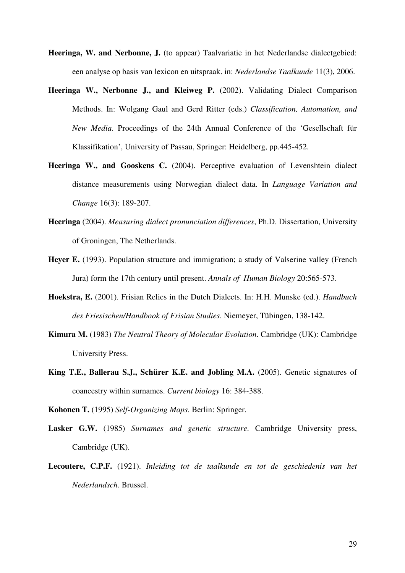- **Heeringa, W. and Nerbonne, J.** (to appear) Taalvariatie in het Nederlandse dialectgebied: een analyse op basis van lexicon en uitspraak. in: *Nederlandse Taalkunde* 11(3), 2006.
- **Heeringa W., Nerbonne J., and Kleiweg P.** (2002). Validating Dialect Comparison Methods. In: Wolgang Gaul and Gerd Ritter (eds.) *Classification, Automation, and New Media*. Proceedings of the 24th Annual Conference of the 'Gesellschaft für Klassifikation', University of Passau, Springer: Heidelberg, pp.445-452.
- **Heeringa W., and Gooskens C.** (2004). Perceptive evaluation of Levenshtein dialect distance measurements using Norwegian dialect data. In *Language Variation and Change* 16(3): 189-207.
- **Heeringa** (2004). *Measuring dialect pronunciation differences*, Ph.D. Dissertation, University of Groningen, The Netherlands.
- **Heyer E.** (1993). Population structure and immigration; a study of Valserine valley (French Jura) form the 17th century until present. *Annals of Human Biology* 20:565-573.
- **Hoekstra, E.** (2001). Frisian Relics in the Dutch Dialects. In: H.H. Munske (ed.). *Handbuch des Friesischen/Handbook of Frisian Studies*. Niemeyer, Tübingen, 138-142.
- **Kimura M.** (1983) *The Neutral Theory of Molecular Evolution*. Cambridge (UK): Cambridge University Press.
- **King T.E., Ballerau S.J., Schürer K.E. and Jobling M.A.** (2005). Genetic signatures of coancestry within surnames. *Current biology* 16: 384-388.
- **Kohonen T.** (1995) *Self-Organizing Maps*. Berlin: Springer.
- **Lasker G.W.** (1985) *Surnames and genetic structure*. Cambridge University press, Cambridge (UK).
- **Lecoutere, C.P.F.** (1921). *Inleiding tot de taalkunde en tot de geschiedenis van het Nederlandsch*. Brussel.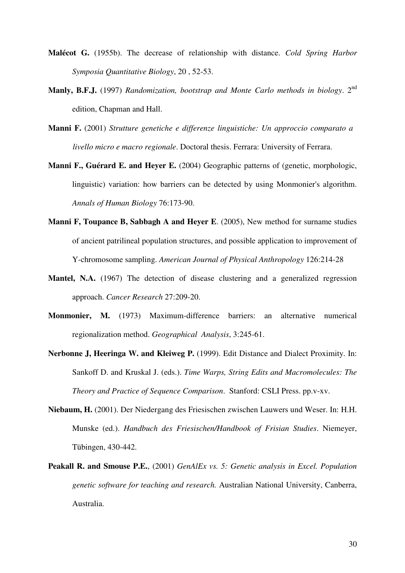- **Malécot G.** (1955b). The decrease of relationship with distance. *Cold Spring Harbor Symposia Quantitative Biology*, 20 , 52-53.
- **Manly, B.F.J.** (1997) *Randomization, bootstrap and Monte Carlo methods in biology*. 2 nd edition, Chapman and Hall.
- **Manni F.** (2001) *Strutture genetiche e differenze linguistiche: Un approccio comparato a livello micro e macro regionale*. Doctoral thesis. Ferrara: University of Ferrara.
- **Manni F., Guérard E. and Heyer E.** (2004) Geographic patterns of (genetic, morphologic, linguistic) variation: how barriers can be detected by using Monmonier's algorithm. *Annals of Human Biology* 76:173-90.
- **Manni F, Toupance B, Sabbagh A and Heyer E**. (2005), New method for surname studies of ancient patrilineal population structures, and possible application to improvement of Y-chromosome sampling. *American Journal of Physical Anthropology* 126:214-28
- **Mantel, N.A.** (1967) The detection of disease clustering and a generalized regression approach. *Cancer Research* 27:209-20.
- **Monmonier, M.** (1973) Maximum-difference barriers: an alternative numerical regionalization method. *Geographical Analysis*, 3:245-61.
- **Nerbonne J, Heeringa W. and Kleiweg P.** (1999). Edit Distance and Dialect Proximity. In: Sankoff D. and Kruskal J. (eds.). *Time Warps, String Edits and Macromolecules: The Theory and Practice of Sequence Comparison*. Stanford: CSLI Press. pp.v-xv.
- **Niebaum, H.** (2001). Der Niedergang des Friesischen zwischen Lauwers und Weser. In: H.H. Munske (ed.). *Handbuch des Friesischen/Handbook of Frisian Studies*. Niemeyer, Tübingen, 430-442.
- **Peakall R. and Smouse P.E.**, (2001) *GenAlEx vs. 5: Genetic analysis in Excel. Population genetic software for teaching and research.* Australian National University, Canberra, Australia.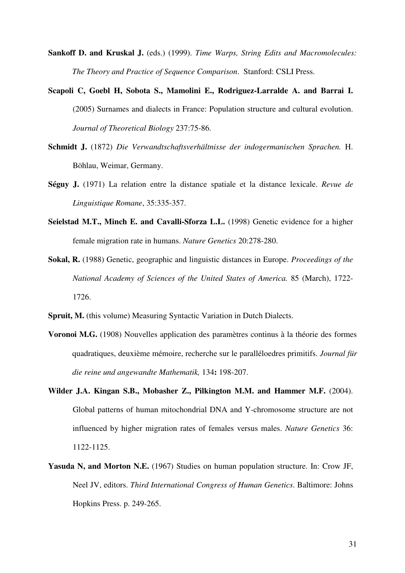**Sankoff D. and Kruskal J.** (eds.) (1999). *Time Warps, String Edits and Macromolecules: The Theory and Practice of Sequence Comparison*. Stanford: CSLI Press.

- **Scapoli C, Goebl H, Sobota S., Mamolini E., Rodriguez-Larralde A. and Barrai I.** (2005) Surnames and dialects in France: Population structure and cultural evolution. *Journal of Theoretical Biology* 237:75-86.
- **Schmidt J.** (1872) *Die Verwandtschaftsverhältnisse der indogermanischen Sprachen.* H. Böhlau, Weimar, Germany.
- **Séguy J.** (1971) La relation entre la distance spatiale et la distance lexicale. *Revue de Linguistique Romane*, 35:335-357.
- **Seielstad M.T., Minch E. and Cavalli-Sforza L.L.** (1998) Genetic evidence for a higher female migration rate in humans. *Nature Genetics* 20:278-280.
- **Sokal, R.** (1988) Genetic, geographic and linguistic distances in Europe. *Proceedings of the National Academy of Sciences of the United States of America.* 85 (March), 1722- 1726.
- **Spruit, M.** (this volume) Measuring Syntactic Variation in Dutch Dialects.
- **Voronoi M.G.** (1908) Nouvelles application des paramètres continus à la théorie des formes quadratiques, deuxième mémoire, recherche sur le paralléloedres primitifs. *Journal für die reine und angewandte Mathematik,* 134**:** 198-207.
- **Wilder J.A. Kingan S.B., Mobasher Z., Pilkington M.M. and Hammer M.F.** (2004). Global patterns of human mitochondrial DNA and Y-chromosome structure are not influenced by higher migration rates of females versus males. *Nature Genetics* 36: 1122-1125.
- **Yasuda N, and Morton N.E.** (1967) Studies on human population structure. In: Crow JF, Neel JV, editors. *Third International Congress of Human Genetics*. Baltimore: Johns Hopkins Press. p. 249-265.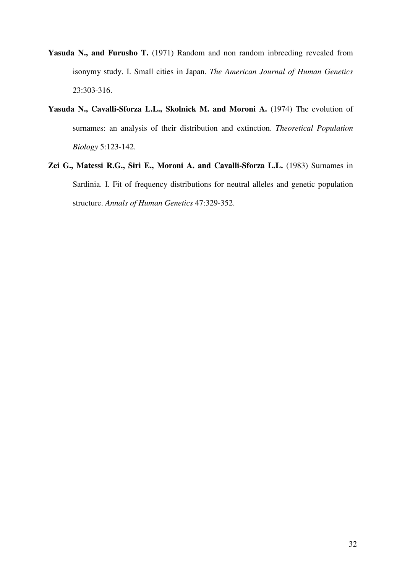- **Yasuda N., and Furusho T.** (1971) Random and non random inbreeding revealed from isonymy study. I. Small cities in Japan. *The American Journal of Human Genetics* 23:303-316.
- **Yasuda N., Cavalli-Sforza L.L., Skolnick M. and Moroni A.** (1974) The evolution of surnames: an analysis of their distribution and extinction. *Theoretical Population Biology* 5:123-142.
- **Zei G., Matessi R.G., Siri E., Moroni A. and Cavalli-Sforza L.L.** (1983) Surnames in Sardinia. I. Fit of frequency distributions for neutral alleles and genetic population structure. *Annals of Human Genetics* 47:329-352.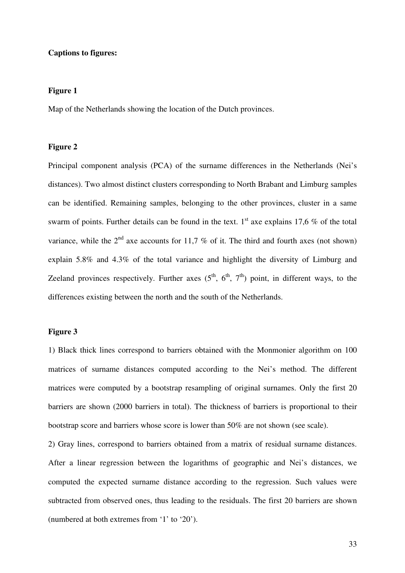#### **Captions to figures:**

#### **Figure 1**

Map of the Netherlands showing the location of the Dutch provinces.

#### **Figure 2**

Principal component analysis (PCA) of the surname differences in the Netherlands (Nei's distances). Two almost distinct clusters corresponding to North Brabant and Limburg samples can be identified. Remaining samples, belonging to the other provinces, cluster in a same swarm of points. Further details can be found in the text.  $1<sup>st</sup>$  axe explains 17,6 % of the total variance, while the  $2<sup>nd</sup>$  axe accounts for 11,7 % of it. The third and fourth axes (not shown) explain 5.8% and 4.3% of the total variance and highlight the diversity of Limburg and Zeeland provinces respectively. Further axes  $(5^{th}, 6^{th}, 7^{th})$  point, in different ways, to the differences existing between the north and the south of the Netherlands.

# **Figure 3**

1) Black thick lines correspond to barriers obtained with the Monmonier algorithm on 100 matrices of surname distances computed according to the Nei's method. The different matrices were computed by a bootstrap resampling of original surnames. Only the first 20 barriers are shown (2000 barriers in total). The thickness of barriers is proportional to their bootstrap score and barriers whose score is lower than 50% are not shown (see scale).

2) Gray lines, correspond to barriers obtained from a matrix of residual surname distances. After a linear regression between the logarithms of geographic and Nei's distances, we computed the expected surname distance according to the regression. Such values were subtracted from observed ones, thus leading to the residuals. The first 20 barriers are shown (numbered at both extremes from '1' to '20').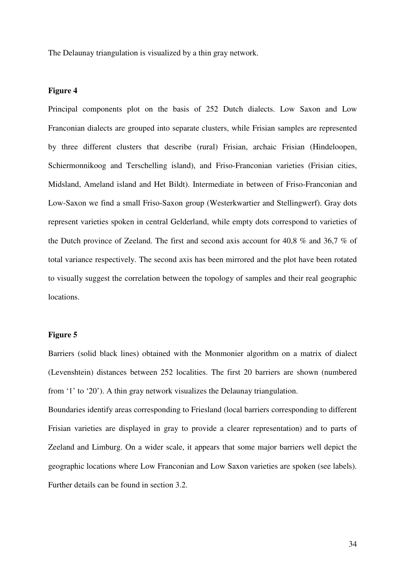The Delaunay triangulation is visualized by a thin gray network.

#### **Figure 4**

Principal components plot on the basis of 252 Dutch dialects. Low Saxon and Low Franconian dialects are grouped into separate clusters, while Frisian samples are represented by three different clusters that describe (rural) Frisian, archaic Frisian (Hindeloopen, Schiermonnikoog and Terschelling island), and Friso-Franconian varieties (Frisian cities, Midsland, Ameland island and Het Bildt). Intermediate in between of Friso-Franconian and Low-Saxon we find a small Friso-Saxon group (Westerkwartier and Stellingwerf). Gray dots represent varieties spoken in central Gelderland, while empty dots correspond to varieties of the Dutch province of Zeeland. The first and second axis account for 40,8 % and 36,7 % of total variance respectively. The second axis has been mirrored and the plot have been rotated to visually suggest the correlation between the topology of samples and their real geographic locations.

#### **Figure 5**

Barriers (solid black lines) obtained with the Monmonier algorithm on a matrix of dialect (Levenshtein) distances between 252 localities. The first 20 barriers are shown (numbered from '1' to '20'). A thin gray network visualizes the Delaunay triangulation.

Boundaries identify areas corresponding to Friesland (local barriers corresponding to different Frisian varieties are displayed in gray to provide a clearer representation) and to parts of Zeeland and Limburg. On a wider scale, it appears that some major barriers well depict the geographic locations where Low Franconian and Low Saxon varieties are spoken (see labels). Further details can be found in section 3.2.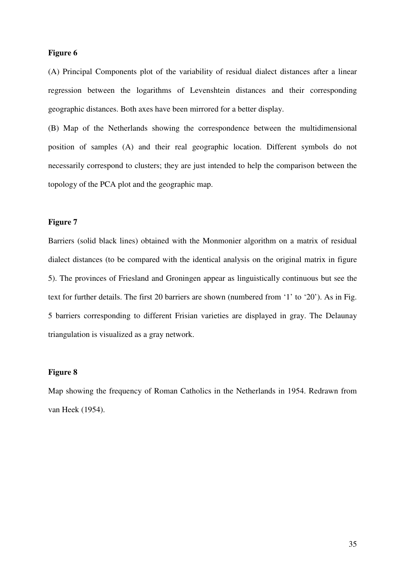# **Figure 6**

(A) Principal Components plot of the variability of residual dialect distances after a linear regression between the logarithms of Levenshtein distances and their corresponding geographic distances. Both axes have been mirrored for a better display.

(B) Map of the Netherlands showing the correspondence between the multidimensional position of samples (A) and their real geographic location. Different symbols do not necessarily correspond to clusters; they are just intended to help the comparison between the topology of the PCA plot and the geographic map.

# **Figure 7**

Barriers (solid black lines) obtained with the Monmonier algorithm on a matrix of residual dialect distances (to be compared with the identical analysis on the original matrix in figure 5). The provinces of Friesland and Groningen appear as linguistically continuous but see the text for further details. The first 20 barriers are shown (numbered from '1' to '20'). As in Fig. 5 barriers corresponding to different Frisian varieties are displayed in gray. The Delaunay triangulation is visualized as a gray network.

# **Figure 8**

Map showing the frequency of Roman Catholics in the Netherlands in 1954. Redrawn from van Heek (1954).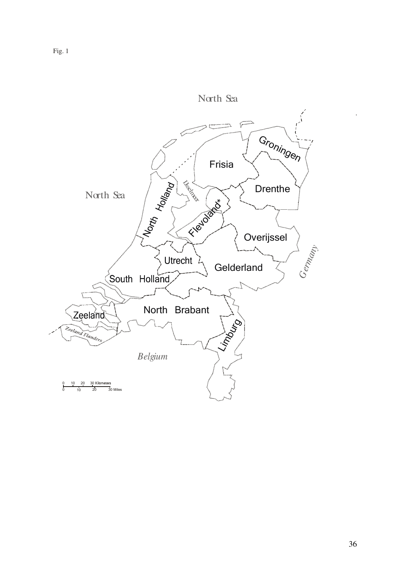